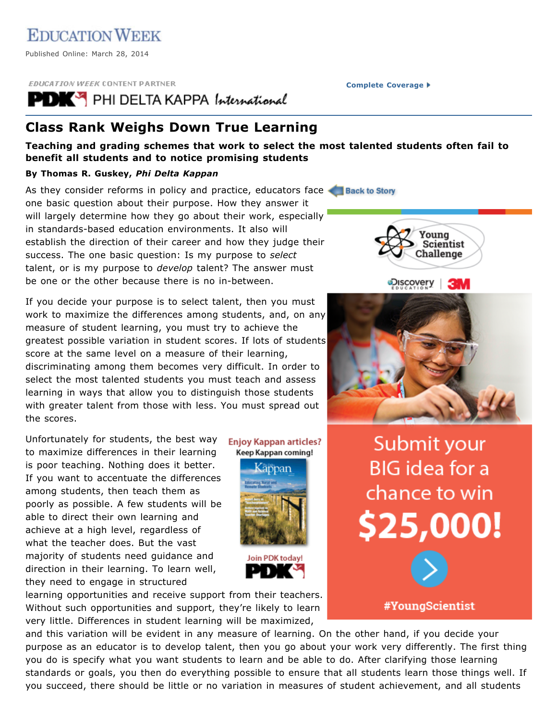**EDUCATION WEEK** Published Online: March 28, 2014

**EDUCATION WEEK CONTENT PARTNER** 

**PDK**<sup>3</sup> PHI DELTA KAPPA International

# **Class Rank Weighs Down True Learning**

**Teaching and grading schemes that work to select the most talented students often fail to benefit all students and to notice promising students**

#### **By Thomas R. Guskey,** *Phi Delta Kappan*

As they consider reforms in policy and practice, educators face Back to Story one basic question about their purpose. How they answer it will largely determine how they go about their work, especially in standards-based education environments. It also will establish the direction of their career and how they judge their success. The one basic question: Is my purpose to *select* talent, or is my purpose to *develop* talent? The answer must be one or the other because there is no in-between.

If you decide your purpose is to select talent, then you must work to maximize the differences among students, and, on any measure of student learning, you must try to achieve the greatest possible variation in student scores. If lots of students score at the same level on a measure of their learning, discriminating among them becomes very difficult. In order to select the most talented students you must teach and assess learning in ways that allow you to distinguish those students with greater talent from those with less. You must spread out the scores.

Unfortunately for students, the best way to maximize differences in their learning is poor teaching. Nothing does it better. If you want to accentuate the differences among students, then teach them as poorly as possible. A few students will be able to direct their own learning and achieve at a high level, regardless of what the teacher does. But the vast majority of students need guidance and direction in their learning. To learn well, they need to engage in structured

**Enjoy Kappan articles?** Keep Kappan coming!





learning opportunities and receive support from their teachers. Without such opportunities and support, they're likely to learn very little. Differences in student learning will be maximized,

and this variation will be evident in any measure of learning. On the other hand, if you decide your purpose as an educator is to develop talent, then you go about your work very differently. The first thing you do is specify what you want students to learn and be able to do. After clarifying those learning standards or goals, you then do everything possible to ensure that all students learn those things well. If you succeed, there should be little or no variation in measures of student achievement, and all students

**[Complete](http://www.edweek.org/ew/collections/pdk/index.html) Coverage**





Submit your **BIG** idea for a chance to win \$25,000!

#YoungScientist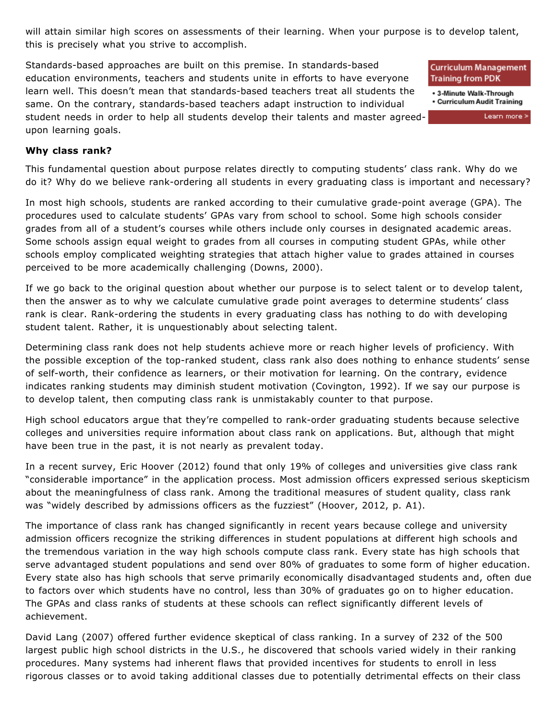will attain similar high scores on assessments of their learning. When your purpose is to develop talent, this is precisely what you strive to accomplish.

Standards-based approaches are built on this premise. In standards-based education environments, teachers and students unite in efforts to have everyone learn well. This doesn't mean that standards-based teachers treat all students the same. On the contrary, standards-based teachers adapt instruction to individual student needs in order to help all students develop their talents and master agreedupon learning goals.

#### **Curriculum Management Training from PDK**

• 3-Minute Walk-Through • Curriculum Audit Training

Learn more >

### **Why class rank?**

This fundamental question about purpose relates directly to computing students' class rank. Why do we do it? Why do we believe rank-ordering all students in every graduating class is important and necessary?

In most high schools, students are ranked according to their cumulative grade-point average (GPA). The procedures used to calculate students' GPAs vary from school to school. Some high schools consider grades from all of a student's courses while others include only courses in designated academic areas. Some schools assign equal weight to grades from all courses in computing student GPAs, while other schools employ complicated weighting strategies that attach higher value to grades attained in courses perceived to be more academically challenging (Downs, 2000).

If we go back to the original question about whether our purpose is to select talent or to develop talent, then the answer as to why we calculate cumulative grade point averages to determine students' class rank is clear. Rank-ordering the students in every graduating class has nothing to do with developing student talent. Rather, it is unquestionably about selecting talent.

Determining class rank does not help students achieve more or reach higher levels of proficiency. With the possible exception of the top-ranked student, class rank also does nothing to enhance students' sense of self-worth, their confidence as learners, or their motivation for learning. On the contrary, evidence indicates ranking students may diminish student motivation (Covington, 1992). If we say our purpose is to develop talent, then computing class rank is unmistakably counter to that purpose.

High school educators argue that they're compelled to rank-order graduating students because selective colleges and universities require information about class rank on applications. But, although that might have been true in the past, it is not nearly as prevalent today.

In a recent survey, Eric Hoover (2012) found that only 19% of colleges and universities give class rank "considerable importance" in the application process. Most admission officers expressed serious skepticism about the meaningfulness of class rank. Among the traditional measures of student quality, class rank was "widely described by admissions officers as the fuzziest" (Hoover, 2012, p. A1).

The importance of class rank has changed significantly in recent years because college and university admission officers recognize the striking differences in student populations at different high schools and the tremendous variation in the way high schools compute class rank. Every state has high schools that serve advantaged student populations and send over 80% of graduates to some form of higher education. Every state also has high schools that serve primarily economically disadvantaged students and, often due to factors over which students have no control, less than 30% of graduates go on to higher education. The GPAs and class ranks of students at these schools can reflect significantly different levels of achievement.

David Lang (2007) offered further evidence skeptical of class ranking. In a survey of 232 of the 500 largest public high school districts in the U.S., he discovered that schools varied widely in their ranking procedures. Many systems had inherent flaws that provided incentives for students to enroll in less rigorous classes or to avoid taking additional classes due to potentially detrimental effects on their class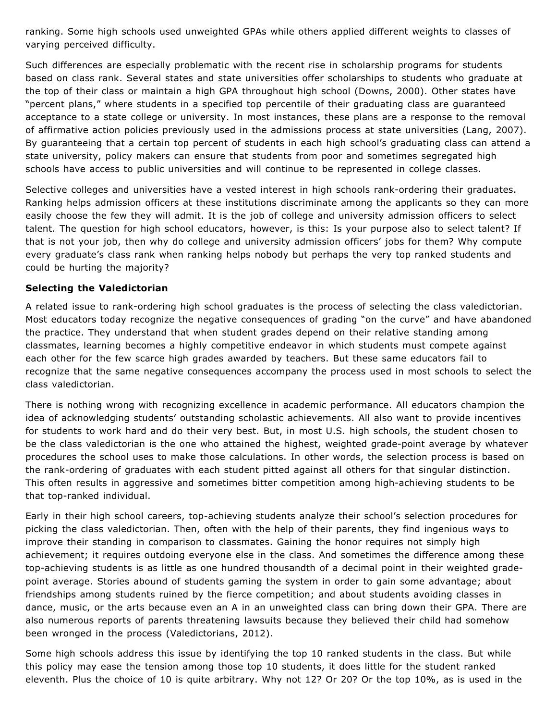ranking. Some high schools used unweighted GPAs while others applied different weights to classes of varying perceived difficulty.

Such differences are especially problematic with the recent rise in scholarship programs for students based on class rank. Several states and state universities offer scholarships to students who graduate at the top of their class or maintain a high GPA throughout high school (Downs, 2000). Other states have "percent plans," where students in a specified top percentile of their graduating class are guaranteed acceptance to a state college or university. In most instances, these plans are a response to the removal of affirmative action policies previously used in the admissions process at state universities (Lang, 2007). By guaranteeing that a certain top percent of students in each high school's graduating class can attend a state university, policy makers can ensure that students from poor and sometimes segregated high schools have access to public universities and will continue to be represented in college classes.

Selective colleges and universities have a vested interest in high schools rank-ordering their graduates. Ranking helps admission officers at these institutions discriminate among the applicants so they can more easily choose the few they will admit. It is the job of college and university admission officers to select talent. The question for high school educators, however, is this: Is your purpose also to select talent? If that is not your job, then why do college and university admission officers' jobs for them? Why compute every graduate's class rank when ranking helps nobody but perhaps the very top ranked students and could be hurting the majority?

#### **Selecting the Valedictorian**

A related issue to rank-ordering high school graduates is the process of selecting the class valedictorian. Most educators today recognize the negative consequences of grading "on the curve" and have abandoned the practice. They understand that when student grades depend on their relative standing among classmates, learning becomes a highly competitive endeavor in which students must compete against each other for the few scarce high grades awarded by teachers. But these same educators fail to recognize that the same negative consequences accompany the process used in most schools to select the class valedictorian.

There is nothing wrong with recognizing excellence in academic performance. All educators champion the idea of acknowledging students' outstanding scholastic achievements. All also want to provide incentives for students to work hard and do their very best. But, in most U.S. high schools, the student chosen to be the class valedictorian is the one who attained the highest, weighted grade-point average by whatever procedures the school uses to make those calculations. In other words, the selection process is based on the rank-ordering of graduates with each student pitted against all others for that singular distinction. This often results in aggressive and sometimes bitter competition among high-achieving students to be that top-ranked individual.

Early in their high school careers, top-achieving students analyze their school's selection procedures for picking the class valedictorian. Then, often with the help of their parents, they find ingenious ways to improve their standing in comparison to classmates. Gaining the honor requires not simply high achievement; it requires outdoing everyone else in the class. And sometimes the difference among these top-achieving students is as little as one hundred thousandth of a decimal point in their weighted gradepoint average. Stories abound of students gaming the system in order to gain some advantage; about friendships among students ruined by the fierce competition; and about students avoiding classes in dance, music, or the arts because even an A in an unweighted class can bring down their GPA. There are also numerous reports of parents threatening lawsuits because they believed their child had somehow been wronged in the process (Valedictorians, 2012).

Some high schools address this issue by identifying the top 10 ranked students in the class. But while this policy may ease the tension among those top 10 students, it does little for the student ranked eleventh. Plus the choice of 10 is quite arbitrary. Why not 12? Or 20? Or the top 10%, as is used in the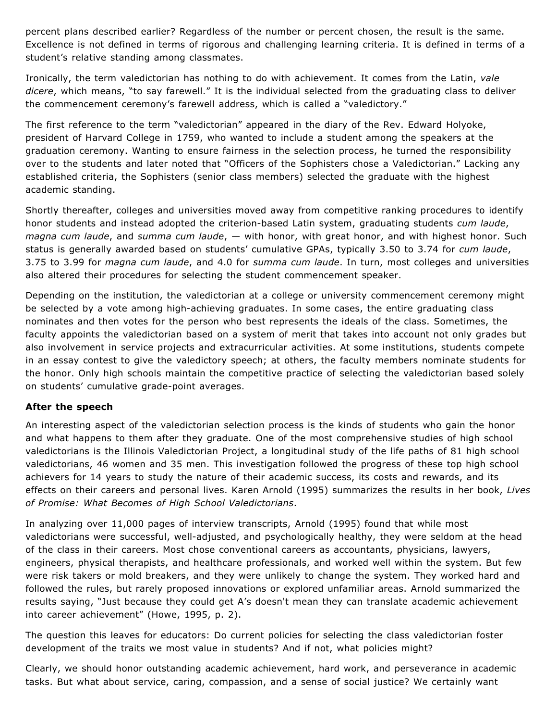percent plans described earlier? Regardless of the number or percent chosen, the result is the same. Excellence is not defined in terms of rigorous and challenging learning criteria. It is defined in terms of a student's relative standing among classmates.

Ironically, the term valedictorian has nothing to do with achievement. It comes from the Latin, *vale dicere*, which means, "to say farewell." It is the individual selected from the graduating class to deliver the commencement ceremony's farewell address, which is called a "valedictory."

The first reference to the term "valedictorian" appeared in the diary of the Rev. Edward Holyoke, president of Harvard College in 1759, who wanted to include a student among the speakers at the graduation ceremony. Wanting to ensure fairness in the selection process, he turned the responsibility over to the students and later noted that "Officers of the Sophisters chose a Valedictorian." Lacking any established criteria, the Sophisters (senior class members) selected the graduate with the highest academic standing.

Shortly thereafter, colleges and universities moved away from competitive ranking procedures to identify honor students and instead adopted the criterion-based Latin system, graduating students *cum laude*, *magna cum laude*, and *summa cum laude*, — with honor, with great honor, and with highest honor. Such status is generally awarded based on students' cumulative GPAs, typically 3.50 to 3.74 for *cum laude*, 3.75 to 3.99 for *magna cum laude*, and 4.0 for *summa cum laude*. In turn, most colleges and universities also altered their procedures for selecting the student commencement speaker.

Depending on the institution, the valedictorian at a college or university commencement ceremony might be selected by a vote among high-achieving graduates. In some cases, the entire graduating class nominates and then votes for the person who best represents the ideals of the class. Sometimes, the faculty appoints the valedictorian based on a system of merit that takes into account not only grades but also involvement in service projects and extracurricular activities. At some institutions, students compete in an essay contest to give the valedictory speech; at others, the faculty members nominate students for the honor. Only high schools maintain the competitive practice of selecting the valedictorian based solely on students' cumulative grade-point averages.

## **After the speech**

An interesting aspect of the valedictorian selection process is the kinds of students who gain the honor and what happens to them after they graduate. One of the most comprehensive studies of high school valedictorians is the Illinois Valedictorian Project, a longitudinal study of the life paths of 81 high school valedictorians, 46 women and 35 men. This investigation followed the progress of these top high school achievers for 14 years to study the nature of their academic success, its costs and rewards, and its effects on their careers and personal lives. Karen Arnold (1995) summarizes the results in her book, *Lives of Promise: What Becomes of High School Valedictorians*.

In analyzing over 11,000 pages of interview transcripts, Arnold (1995) found that while most valedictorians were successful, well-adjusted, and psychologically healthy, they were seldom at the head of the class in their careers. Most chose conventional careers as accountants, physicians, lawyers, engineers, physical therapists, and healthcare professionals, and worked well within the system. But few were risk takers or mold breakers, and they were unlikely to change the system. They worked hard and followed the rules, but rarely proposed innovations or explored unfamiliar areas. Arnold summarized the results saying, "Just because they could get A's doesn't mean they can translate academic achievement into career achievement" (Howe, 1995, p. 2).

The question this leaves for educators: Do current policies for selecting the class valedictorian foster development of the traits we most value in students? And if not, what policies might?

Clearly, we should honor outstanding academic achievement, hard work, and perseverance in academic tasks. But what about service, caring, compassion, and a sense of social justice? We certainly want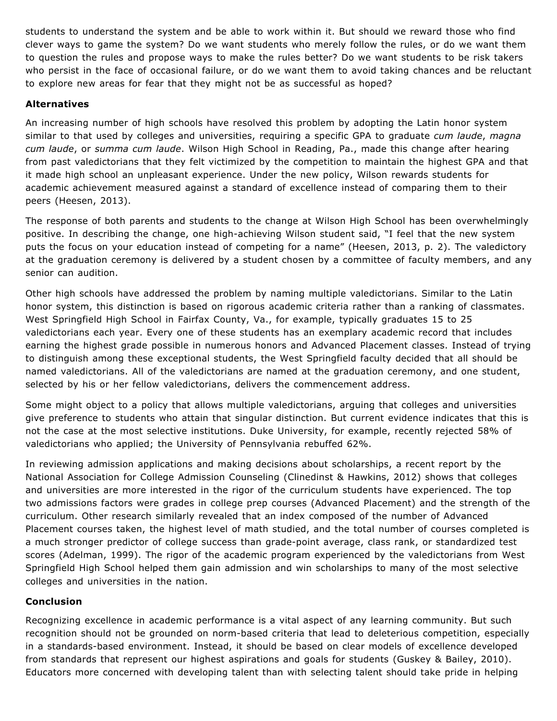students to understand the system and be able to work within it. But should we reward those who find clever ways to game the system? Do we want students who merely follow the rules, or do we want them to question the rules and propose ways to make the rules better? Do we want students to be risk takers who persist in the face of occasional failure, or do we want them to avoid taking chances and be reluctant to explore new areas for fear that they might not be as successful as hoped?

### **Alternatives**

An increasing number of high schools have resolved this problem by adopting the Latin honor system similar to that used by colleges and universities, requiring a specific GPA to graduate *cum laude*, *magna cum laude*, or *summa cum laude*. Wilson High School in Reading, Pa., made this change after hearing from past valedictorians that they felt victimized by the competition to maintain the highest GPA and that it made high school an unpleasant experience. Under the new policy, Wilson rewards students for academic achievement measured against a standard of excellence instead of comparing them to their peers (Heesen, 2013).

The response of both parents and students to the change at Wilson High School has been overwhelmingly positive. In describing the change, one high-achieving Wilson student said, "I feel that the new system puts the focus on your education instead of competing for a name" (Heesen, 2013, p. 2). The valedictory at the graduation ceremony is delivered by a student chosen by a committee of faculty members, and any senior can audition.

Other high schools have addressed the problem by naming multiple valedictorians. Similar to the Latin honor system, this distinction is based on rigorous academic criteria rather than a ranking of classmates. West Springfield High School in Fairfax County, Va., for example, typically graduates 15 to 25 valedictorians each year. Every one of these students has an exemplary academic record that includes earning the highest grade possible in numerous honors and Advanced Placement classes. Instead of trying to distinguish among these exceptional students, the West Springfield faculty decided that all should be named valedictorians. All of the valedictorians are named at the graduation ceremony, and one student, selected by his or her fellow valedictorians, delivers the commencement address.

Some might object to a policy that allows multiple valedictorians, arguing that colleges and universities give preference to students who attain that singular distinction. But current evidence indicates that this is not the case at the most selective institutions. Duke University, for example, recently rejected 58% of valedictorians who applied; the University of Pennsylvania rebuffed 62%.

In reviewing admission applications and making decisions about scholarships, a recent report by the National Association for College Admission Counseling (Clinedinst & Hawkins, 2012) shows that colleges and universities are more interested in the rigor of the curriculum students have experienced. The top two admissions factors were grades in college prep courses (Advanced Placement) and the strength of the curriculum. Other research similarly revealed that an index composed of the number of Advanced Placement courses taken, the highest level of math studied, and the total number of courses completed is a much stronger predictor of college success than grade-point average, class rank, or standardized test scores (Adelman, 1999). The rigor of the academic program experienced by the valedictorians from West Springfield High School helped them gain admission and win scholarships to many of the most selective colleges and universities in the nation.

## **Conclusion**

Recognizing excellence in academic performance is a vital aspect of any learning community. But such recognition should not be grounded on norm-based criteria that lead to deleterious competition, especially in a standards-based environment. Instead, it should be based on clear models of excellence developed from standards that represent our highest aspirations and goals for students (Guskey & Bailey, 2010). Educators more concerned with developing talent than with selecting talent should take pride in helping